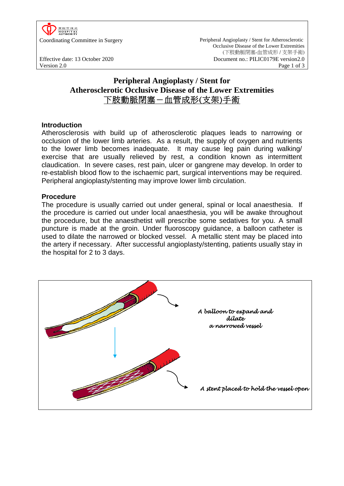

Coordinating Committee in Surgery Peripheral Angioplasty / Stent for Atherosclerotic Occlusive Disease of the Lower Extremities (下肢動脈閉塞-血管成形 / 支架手術) Effective date: 13 October 2020 Document no.: PILIC0179E version2.0<br>Version 2.0 Page 1 of 3 Version 2.0 **Page 1 of 3** 

# **Peripheral Angioplasty / Stent for Atherosclerotic Occlusive Disease of the Lower Extremities** 下肢動脈閉塞-血管成形(支架)手術

# **Introduction**

Atherosclerosis with build up of atherosclerotic plaques leads to narrowing or occlusion of the lower limb arteries. As a result, the supply of oxygen and nutrients to the lower limb becomes inadequate. It may cause leg pain during walking/ exercise that are usually relieved by rest, a condition known as intermittent claudication. In severe cases, rest pain, ulcer or gangrene may develop. In order to re-establish blood flow to the ischaemic part, surgical interventions may be required. Peripheral angioplasty/stenting may improve lower limb circulation.

# **Procedure**

The procedure is usually carried out under general, spinal or local anaesthesia. If the procedure is carried out under local anaesthesia, you will be awake throughout the procedure, but the anaesthetist will prescribe some sedatives for you. A small puncture is made at the groin. Under fluoroscopy guidance, a balloon catheter is used to dilate the narrowed or blocked vessel. A metallic stent may be placed into the artery if necessary. After successful angioplasty/stenting, patients usually stay in the hospital for 2 to 3 days.

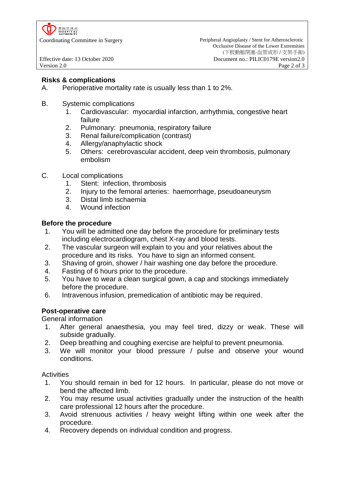

# **Risks & complications**

- A. Perioperative mortality rate is usually less than 1 to 2%.
- B. Systemic complications
	- 1. Cardiovascular: myocardial infarction, arrhythmia, congestive heart failure
	- 2. Pulmonary: pneumonia, respiratory failure
	- 3. Renal failure/complication (contrast)
	- 4. Allergy/anaphylactic shock
	- 5. Others: cerebrovascular accident, deep vein thrombosis, pulmonary embolism
- C. Local complications
	- 1. Stent: infection, thrombosis
	- 2. Injury to the femoral arteries: haemorrhage, pseudoaneurysm
	- 3. Distal limb ischaemia
	- 4. Wound infection

#### **Before the procedure**

- 1. You will be admitted one day before the procedure for preliminary tests including electrocardiogram, chest X-ray and blood tests.
- 2. The vascular surgeon will explain to you and your relatives about the procedure and its risks. You have to sign an informed consent.
- 3. Shaving of groin, shower / hair washing one day before the procedure.
- 4. Fasting of 6 hours prior to the procedure.
- 5. You have to wear a clean surgical gown, a cap and stockings immediately before the procedure.
- 6. Intravenous infusion, premedication of antibiotic may be required.

## **Post-operative care**

General information

- 1. After general anaesthesia, you may feel tired, dizzy or weak. These will subside gradually.
- 2. Deep breathing and coughing exercise are helpful to prevent pneumonia.
- 3. We will monitor your blood pressure / pulse and observe your wound conditions.

**Activities** 

- 1. You should remain in bed for 12 hours. In particular, please do not move or bend the affected limb.
- 2. You may resume usual activities gradually under the instruction of the health care professional 12 hours after the procedure.
- 3. Avoid strenuous activities / heavy weight lifting within one week after the procedure.
- 4. Recovery depends on individual condition and progress.